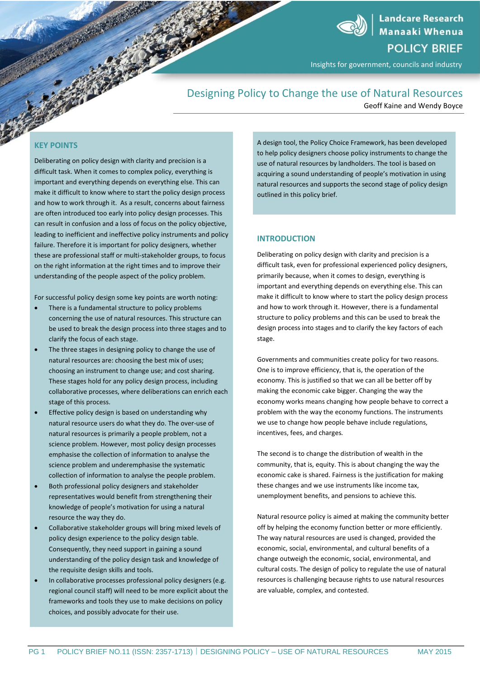**Landcare Research Manaaki Whenua POLICY BRIEF** 

Insights for government, councils and industry

# Designing Policy to Change the use of Natural Resources

Geoff Kaine and Wendy Boyce

# **KEY POINTS**

Deliberating on policy design with clarity and precision is a difficult task. When it comes to complex policy, everything is important and everything depends on everything else. This can make it difficult to know where to start the policy design process and how to work through it. As a result, concerns about fairness are often introduced too early into policy design processes. This can result in confusion and a loss of focus on the policy objective, leading to inefficient and ineffective policy instruments and policy failure. Therefore it is important for policy designers, whether these are professional staff or multi-stakeholder groups, to focus on the right information at the right times and to improve their understanding of the people aspect of the policy problem.

For successful policy design some key points are worth noting:

- There is a fundamental structure to policy problems concerning the use of natural resources. This structure can be used to break the design process into three stages and to clarify the focus of each stage.
- The three stages in designing policy to change the use of natural resources are: choosing the best mix of uses; choosing an instrument to change use; and cost sharing. These stages hold for any policy design process, including collaborative processes, where deliberations can enrich each stage of this process.
- **Effective policy design is based on understanding why** natural resource users do what they do. The over-use of natural resources is primarily a people problem, not a science problem. However, most policy design processes emphasise the collection of information to analyse the science problem and underemphasise the systematic collection of information to analyse the people problem.
- Both professional policy designers and stakeholder representatives would benefit from strengthening their knowledge of people's motivation for using a natural resource the way they do.
- Collaborative stakeholder groups will bring mixed levels of policy design experience to the policy design table. Consequently, they need support in gaining a sound understanding of the policy design task and knowledge of the requisite design skills and tools.
- In collaborative processes professional policy designers (e.g. regional council staff) will need to be more explicit about the frameworks and tools they use to make decisions on policy choices, and possibly advocate for their use.

A design tool, the Policy Choice Framework, has been developed to help policy designers choose policy instruments to change the use of natural resources by landholders. The tool is based on acquiring a sound understanding of people's motivation in using natural resources and supports the second stage of policy design outlined in this policy brief.

#### **INTRODUCTION**

Deliberating on policy design with clarity and precision is a difficult task, even for professional experienced policy designers, primarily because, when it comes to design, everything is important and everything depends on everything else. This can make it difficult to know where to start the policy design process and how to work through it. However, there is a fundamental structure to policy problems and this can be used to break the design process into stages and to clarify the key factors of each stage.

Governments and communities create policy for two reasons. One is to improve efficiency, that is, the operation of the economy. This is justified so that we can all be better off by making the economic cake bigger. Changing the way the economy works means changing how people behave to correct a problem with the way the economy functions. The instruments we use to change how people behave include regulations, incentives, fees, and charges*.*

The second is to change the distribution of wealth in the community, that is, equity. This is about changing the way the economic cake is shared. Fairness is the justification for making these changes and we use instruments like income tax, unemployment benefits, and pensions to achieve this.

Natural resource policy is aimed at making the community better off by helping the economy function better or more efficiently. The way natural resources are used is changed, provided the economic, social, environmental, and cultural benefits of a change outweigh the economic, social, environmental, and cultural costs. The design of policy to regulate the use of natural resources is challenging because rights to use natural resources are valuable, complex, and contested.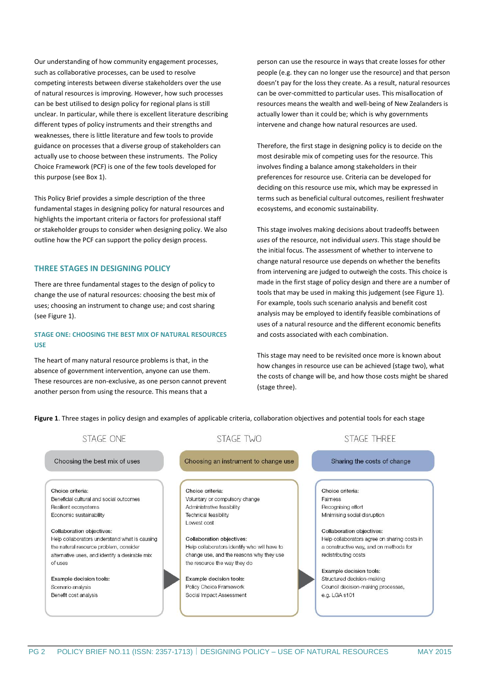Our understanding of how community engagement processes, such as collaborative processes, can be used to resolve competing interests between diverse stakeholders over the use of natural resources is improving. However, how such processes can be best utilised to design policy for regional plans is still unclear. In particular, while there is excellent literature describing different types of policy instruments and their strengths and weaknesses, there is little literature and few tools to provide guidance on processes that a diverse group of stakeholders can actually use to choose between these instruments. The Policy Choice Framework (PCF) is one of the few tools developed for this purpose (see Box 1).

This Policy Brief provides a simple description of the three fundamental stages in designing policy for natural resources and highlights the important criteria or factors for professional staff or stakeholder groups to consider when designing policy. We also outline how the PCF can support the policy design process.

#### **THREE STAGES IN DESIGNING POLICY**

There are three fundamental stages to the design of policy to change the use of natural resources: choosing the best mix of uses; choosing an instrument to change use; and cost sharing (see Figure 1).

# **STAGE ONE: CHOOSING THE BEST MIX OF NATURAL RESOURCES USE**

The heart of many natural resource problems is that, in the absence of government intervention, anyone can use them. These resources are non-exclusive, as one person cannot prevent another person from using the resource. This means that a

person can use the resource in ways that create losses for other people (e.g. they can no longer use the resource) and that person doesn't pay for the loss they create. As a result, natural resources can be over-committed to particular uses. This misallocation of resources means the wealth and well-being of New Zealanders is actually lower than it could be; which is why governments intervene and change how natural resources are used.

Therefore, the first stage in designing policy is to decide on the most desirable mix of competing uses for the resource. This involves finding a balance among stakeholders in their preferences for resource use. Criteria can be developed for deciding on this resource use mix, which may be expressed in terms such as beneficial cultural outcomes, resilient freshwater ecosystems, and economic sustainability.

This stage involves making decisions about tradeoffs between *uses* of the resource, not individual *users*. This stage should be the initial focus. The assessment of whether to intervene to change natural resource use depends on whether the benefits from intervening are judged to outweigh the costs. This choice is made in the first stage of policy design and there are a number of tools that may be used in making this judgement (see Figure 1). For example, tools such scenario analysis and benefit cost analysis may be employed to identify feasible combinations of uses of a natural resource and the different economic benefits and costs associated with each combination.

This stage may need to be revisited once more is known about how changes in resource use can be achieved (stage two), what the costs of change will be, and how those costs might be shared (stage three).

**Figure 1**. Three stages in policy design and examples of applicable criteria, collaboration objectives and potential tools for each stage

| STAGE ONE                                      | <b>STAGE TWO</b>                             | <b>STAGE THREE</b>                           |
|------------------------------------------------|----------------------------------------------|----------------------------------------------|
| Choosing the best mix of uses                  | Choosing an instrument to change use         | Sharing the costs of change                  |
| Choice criteria:                               | Choice criteria:                             | Choice criteria:                             |
| Beneficial cultural and social outcomes        | Voluntary or compulsory change               | <b>Fairness</b>                              |
| Resilient ecosystems                           | Administrative feasibility                   | Recognising effort                           |
| Economic sustainability                        | <b>Technical feasibility</b>                 | Minimising social disruption                 |
|                                                | Lowest cost                                  |                                              |
| Collaboration objectives:                      |                                              | Collaboration objectives:                    |
| Help collaborators understand what is causing  | <b>Collaboration objectives:</b>             | Help collaborators agree on sharing costs in |
| the natural resource problem, consider         | Help collaborators identify who will have to | a constructive way, and on methods for       |
| alternative uses, and identify a desirable mix | change use, and the reasons why they use     | redistributing costs                         |
| of uses                                        | the resource the way they do                 |                                              |
|                                                |                                              | Example decision tools:                      |
| Example decision tools:                        | Example decision tools:                      | Structured decision-making                   |
| Scenario analysis                              | Policy Choice Framework                      | Council decision-making processes,           |
| Benefit cost analysis                          | Social Impact Assessment                     | e.g. LGA s101                                |
|                                                |                                              |                                              |
|                                                |                                              |                                              |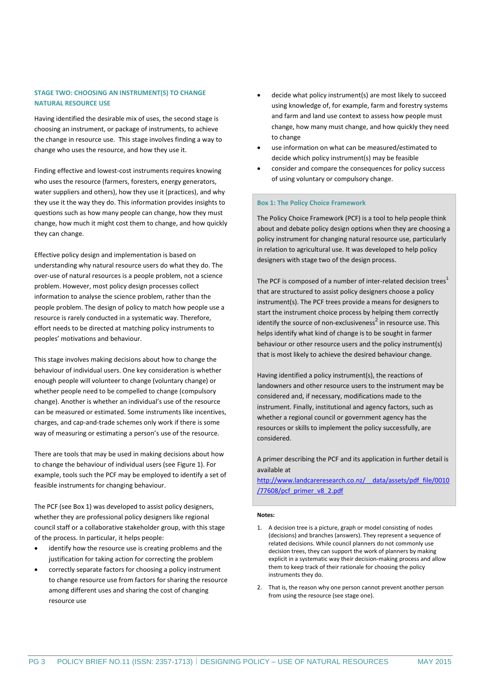# **STAGE TWO: CHOOSING AN INSTRUMENT(S) TO CHANGE NATURAL RESOURCE USE**

Having identified the desirable mix of uses, the second stage is choosing an instrument, or package of instruments, to achieve the change in resource use. This stage involves finding a way to change who uses the resource, and how they use it.

Finding effective and lowest-cost instruments requires knowing who uses the resource (farmers, foresters, energy generators, water suppliers and others), how they use it (practices), and why they use it the way they do. This information provides insights to questions such as how many people can change, how they must change, how much it might cost them to change, and how quickly they can change.

Effective policy design and implementation is based on understanding why natural resource users do what they do. The over-use of natural resources is a people problem, not a science problem. However, most policy design processes collect information to analyse the science problem, rather than the people problem. The design of policy to match how people use a resource is rarely conducted in a systematic way. Therefore, effort needs to be directed at matching policy instruments to peoples' motivations and behaviour.

This stage involves making decisions about how to change the behaviour of individual users. One key consideration is whether enough people will volunteer to change (voluntary change) or whether people need to be compelled to change (compulsory change). Another is whether an individual's use of the resource can be measured or estimated. Some instruments like incentives, charges, and cap-and-trade schemes only work if there is some way of measuring or estimating a person's use of the resource.

There are tools that may be used in making decisions about how to change the behaviour of individual users (see Figure 1). For example, tools such the PCF may be employed to identify a set of feasible instruments for changing behaviour.

The PCF (see Box 1) was developed to assist policy designers, whether they are professional policy designers like regional council staff or a collaborative stakeholder group, with this stage of the process. In particular, it helps people:

- identify how the resource use is creating problems and the justification for taking action for correcting the problem
- correctly separate factors for choosing a policy instrument to change resource use from factors for sharing the resource among different uses and sharing the cost of changing resource use
- decide what policy instrument(s) are most likely to succeed using knowledge of, for example, farm and forestry systems and farm and land use context to assess how people must change, how many must change, and how quickly they need to change
- use information on what can be measured/estimated to decide which policy instrument(s) may be feasible
- consider and compare the consequences for policy success of using voluntary or compulsory change.

#### **Box 1: The Policy Choice Framework**

The Policy Choice Framework (PCF) is a tool to help people think about and debate policy design options when they are choosing a policy instrument for changing natural resource use, particularly in relation to agricultural use. It was developed to help policy designers with stage two of the design process.

The PCF is composed of a number of inter-related decision trees<sup>1</sup> that are structured to assist policy designers choose a policy instrument(s). The PCF trees provide a means for designers to start the instrument choice process by helping them correctly identify the source of non-exclusiveness<sup>2</sup> in resource use. This helps identify what kind of change is to be sought in farmer behaviour or other resource users and the policy instrument(s) that is most likely to achieve the desired behaviour change.

Having identified a policy instrument(s), the reactions of landowners and other resource users to the instrument may be considered and, if necessary, modifications made to the instrument. Finally, institutional and agency factors, such as whether a regional council or government agency has the resources or skills to implement the policy successfully, are considered.

A primer describing the PCF and its application in further detail is available at

[http://www.landcareresearch.co.nz/\\_\\_data/assets/pdf\\_file/0010](http://www.landcareresearch.co.nz/__data/assets/pdf_file/0010/77608/pcf_primer_v8_2.pdf) [/77608/pcf\\_primer\\_v8\\_2.pdf](http://www.landcareresearch.co.nz/__data/assets/pdf_file/0010/77608/pcf_primer_v8_2.pdf)

#### **Notes:**

- 1. A decision tree is a picture, graph or model consisting of nodes (decisions) and branches (answers). They represent a sequence of related decisions. While council planners do not commonly use decision trees, they can support the work of planners by making explicit in a systematic way their decision-making process and allow them to keep track of their rationale for choosing the policy instruments they do.
- 2. That is, the reason why one person cannot prevent another person from using the resource (see stage one).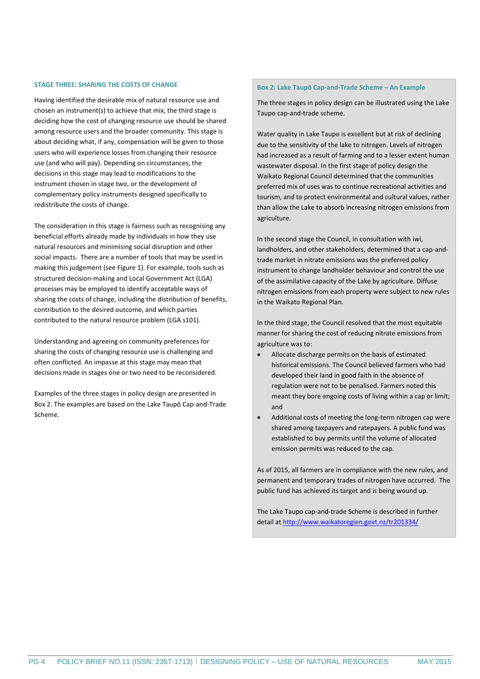#### **STAGE THREE: SHARING THE COSTS OF CHANGE**

Having identified the desirable mix of natural resource use and chosen an instrument(s) to achieve that mix, the third stage is deciding how the cost of changing resource use should be shared among resource users and the broader community. This stage is about deciding what, if any, compensation will be given to those users who will experience losses from changing their resource use (and who will pay). Depending on circumstances, the decisions in this stage may lead to modifications to the instrument chosen in stage two, or the development of complementary policy instruments designed specifically to redistribute the costs of change.

The consideration in this stage is fairness such as recognising any beneficial efforts already made by individuals in how they use natural resources and minimising social disruption and other social impacts. There are a number of tools that may be used in making this judgement (see Figure 1). For example, tools such as structured decision-making and Local Government Act (LGA) processes may be employed to identify acceptable ways of sharing the costs of change, including the distribution of benefits, contribution to the desired outcome, and which parties contributed to the natural resource problem (LGA s101).

Understanding and agreeing on community preferences for sharing the costs of changing resource use is challenging and often conflicted. An impasse at this stage may mean that decisions made in stages one or two need to be reconsidered.

Examples of the three stages in policy design are presented in Box 2. The examples are based on the Lake Taupō Cap-and-Trade Scheme.

#### **Box 2: Lake Taupō Cap-and-Trade Scheme – An Example**

The three stages in policy design can be illustrated using the Lake Taupo cap-and-trade scheme.

Water quality in Lake Taupo is excellent but at risk of declining due to the sensitivity of the lake to nitrogen. Levels of nitrogen had increased as a result of farming and to a lesser extent human wastewater disposal. In the first stage of policy design the Waikato Regional Council determined that the communities preferred mix of uses was to continue recreational activities and tourism, and to protect environmental and cultural values, rather than allow the Lake to absorb increasing nitrogen emissions from agriculture.

In the second stage the Council, in consultation with iwi, landholders, and other stakeholders, determined that a cap-andtrade market in nitrate emissions was the preferred policy instrument to change landholder behaviour and control the use of the assimilative capacity of the Lake by agriculture. Diffuse nitrogen emissions from each property were subject to new rules in the Waikato Regional Plan.

In the third stage, the Council resolved that the most equitable manner for sharing the cost of reducing nitrate emissions from agriculture was to:

- Allocate discharge permits on the basis of estimated historical emissions. The Council believed farmers who had developed their land in good faith in the absence of regulation were not to be penalised. Farmers noted this meant they bore ongoing costs of living within a cap or limit; and
- Additional costs of meeting the long-term nitrogen cap were shared among taxpayers and ratepayers. A public fund was established to buy permits until the volume of allocated emission permits was reduced to the cap.

As of 2015, all farmers are in compliance with the new rules, and permanent and temporary trades of nitrogen have occurred. The public fund has achieved its target and is being wound up.

The Lake Taupo cap-and-trade Scheme is described in further detail at<http://www.waikatoregion.govt.nz/tr201334/>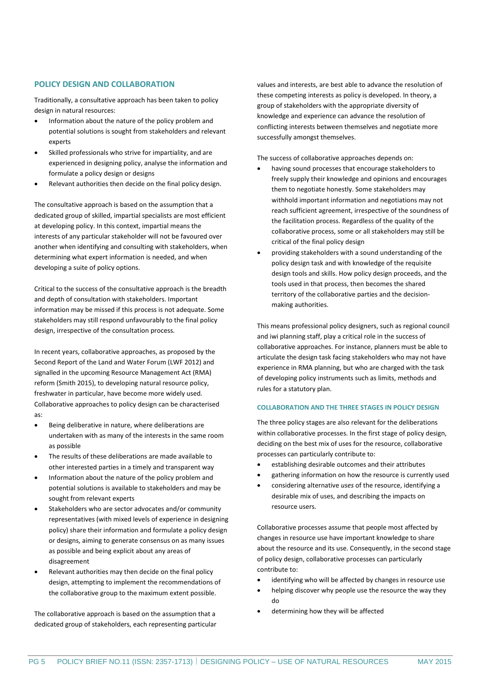## **POLICY DESIGN AND COLLABORATION**

Traditionally, a consultative approach has been taken to policy design in natural resources:

- Information about the nature of the policy problem and potential solutions is sought from stakeholders and relevant experts
- Skilled professionals who strive for impartiality, and are experienced in designing policy, analyse the information and formulate a policy design or designs
- Relevant authorities then decide on the final policy design.

The consultative approach is based on the assumption that a dedicated group of skilled, impartial specialists are most efficient at developing policy. In this context, impartial means the interests of any particular stakeholder will not be favoured over another when identifying and consulting with stakeholders, when determining what expert information is needed, and when developing a suite of policy options.

Critical to the success of the consultative approach is the breadth and depth of consultation with stakeholders. Important information may be missed if this process is not adequate. Some stakeholders may still respond unfavourably to the final policy design, irrespective of the consultation process.

In recent years, collaborative approaches, as proposed by the Second Report of the Land and Water Forum (LWF 2012) and signalled in the upcoming Resource Management Act (RMA) reform (Smith 2015), to developing natural resource policy, freshwater in particular, have become more widely used. Collaborative approaches to policy design can be characterised as:

- Being deliberative in nature, where deliberations are undertaken with as many of the interests in the same room as possible
- The results of these deliberations are made available to other interested parties in a timely and transparent way
- Information about the nature of the policy problem and potential solutions is available to stakeholders and may be sought from relevant experts
- Stakeholders who are sector advocates and/or community representatives (with mixed levels of experience in designing policy) share their information and formulate a policy design or designs, aiming to generate consensus on as many issues as possible and being explicit about any areas of disagreement
- Relevant authorities may then decide on the final policy design, attempting to implement the recommendations of the collaborative group to the maximum extent possible.

The collaborative approach is based on the assumption that a dedicated group of stakeholders, each representing particular values and interests, are best able to advance the resolution of these competing interests as policy is developed. In theory, a group of stakeholders with the appropriate diversity of knowledge and experience can advance the resolution of conflicting interests between themselves and negotiate more successfully amongst themselves.

The success of collaborative approaches depends on:

- having sound processes that encourage stakeholders to freely supply their knowledge and opinions and encourages them to negotiate honestly. Some stakeholders may withhold important information and negotiations may not reach sufficient agreement, irrespective of the soundness of the facilitation process. Regardless of the quality of the collaborative process, some or all stakeholders may still be critical of the final policy design
- providing stakeholders with a sound understanding of the policy design task and with knowledge of the requisite design tools and skills. How policy design proceeds, and the tools used in that process, then becomes the shared territory of the collaborative parties and the decisionmaking authorities.

This means professional policy designers, such as regional council and iwi planning staff, play a critical role in the success of collaborative approaches. For instance, planners must be able to articulate the design task facing stakeholders who may not have experience in RMA planning, but who are charged with the task of developing policy instruments such as limits, methods and rules for a statutory plan.

#### **COLLABORATION AND THE THREE STAGES IN POLICY DESIGN**

The three policy stages are also relevant for the deliberations within collaborative processes. In the first stage of policy design, deciding on the best mix of uses for the resource, collaborative processes can particularly contribute to:

- establishing desirable outcomes and their attributes
- gathering information on how the resource is currently used
- considering alternative *uses* of the resource, identifying a desirable mix of uses, and describing the impacts on resource users.

Collaborative processes assume that people most affected by changes in resource use have important knowledge to share about the resource and its use. Consequently, in the second stage of policy design, collaborative processes can particularly contribute to:

- identifying who will be affected by changes in resource use
- helping discover why people use the resource the way they do
- determining how they will be affected